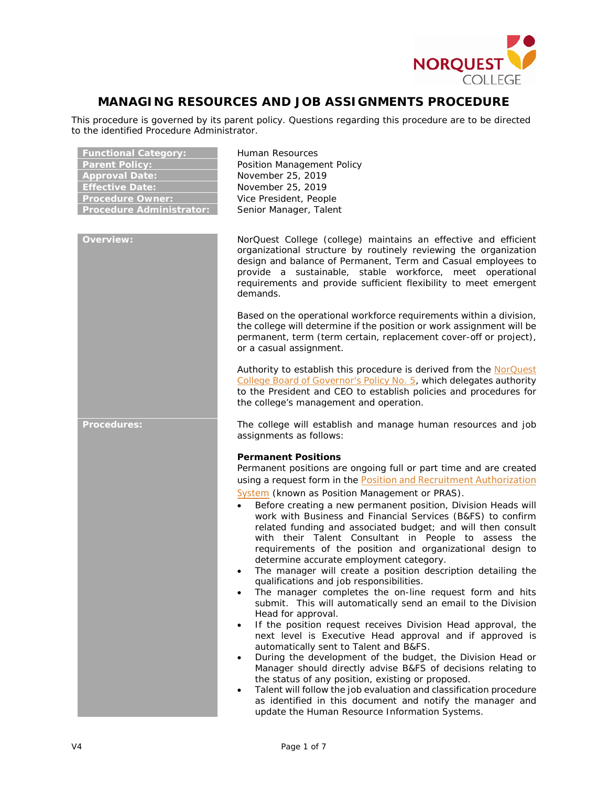

# **MANAGING RESOURCES AND JOB ASSIGNMENTS PROCEDURE**

This procedure is governed by its parent policy. Questions regarding this procedure are to be directed to the identified Procedure Administrator.

| <b>Functional Category:</b><br><b>Parent Policy:</b><br><b>Approval Date:</b><br><b>Effective Date:</b><br><b>Procedure Owner:</b><br><b>Procedure Administrator:</b> | Human Resources<br>Position Management Policy<br>November 25, 2019<br>November 25, 2019<br>Vice President, People<br>Senior Manager, Talent                                                                                                                                                                                                                                                                                                                                                                                                                                                                                                                                                                                                                                                                                                                                                                                                                                                                                                                                                                                                                                                                                                                                                                                                                                                                      |
|-----------------------------------------------------------------------------------------------------------------------------------------------------------------------|------------------------------------------------------------------------------------------------------------------------------------------------------------------------------------------------------------------------------------------------------------------------------------------------------------------------------------------------------------------------------------------------------------------------------------------------------------------------------------------------------------------------------------------------------------------------------------------------------------------------------------------------------------------------------------------------------------------------------------------------------------------------------------------------------------------------------------------------------------------------------------------------------------------------------------------------------------------------------------------------------------------------------------------------------------------------------------------------------------------------------------------------------------------------------------------------------------------------------------------------------------------------------------------------------------------------------------------------------------------------------------------------------------------|
| <b>Overview:</b>                                                                                                                                                      | NorQuest College (college) maintains an effective and efficient<br>organizational structure by routinely reviewing the organization<br>design and balance of Permanent, Term and Casual employees to<br>provide a sustainable, stable workforce, meet operational<br>requirements and provide sufficient flexibility to meet emergent<br>demands.                                                                                                                                                                                                                                                                                                                                                                                                                                                                                                                                                                                                                                                                                                                                                                                                                                                                                                                                                                                                                                                                |
|                                                                                                                                                                       | Based on the operational workforce requirements within a division,<br>the college will determine if the position or work assignment will be<br>permanent, term (term certain, replacement cover-off or project),<br>or a casual assignment.                                                                                                                                                                                                                                                                                                                                                                                                                                                                                                                                                                                                                                                                                                                                                                                                                                                                                                                                                                                                                                                                                                                                                                      |
|                                                                                                                                                                       | Authority to establish this procedure is derived from the NorQuest<br>College Board of Governor's Policy No. 5, which delegates authority<br>to the President and CEO to establish policies and procedures for<br>the college's management and operation.                                                                                                                                                                                                                                                                                                                                                                                                                                                                                                                                                                                                                                                                                                                                                                                                                                                                                                                                                                                                                                                                                                                                                        |
| <b>Procedures:</b>                                                                                                                                                    | The college will establish and manage human resources and job<br>assignments as follows:                                                                                                                                                                                                                                                                                                                                                                                                                                                                                                                                                                                                                                                                                                                                                                                                                                                                                                                                                                                                                                                                                                                                                                                                                                                                                                                         |
|                                                                                                                                                                       | <b>Permanent Positions</b><br>Permanent positions are ongoing full or part time and are created<br>using a request form in the Position and Recruitment Authorization<br>System (known as Position Management or PRAS).<br>Before creating a new permanent position, Division Heads will<br>$\bullet$<br>work with Business and Financial Services (B&FS) to confirm<br>related funding and associated budget; and will then consult<br>with their Talent Consultant in People to assess the<br>requirements of the position and organizational design to<br>determine accurate employment category.<br>The manager will create a position description detailing the<br>qualifications and job responsibilities.<br>The manager completes the on-line request form and hits<br>submit. This will automatically send an email to the Division<br>Head for approval.<br>If the position request receives Division Head approval, the<br>next level is Executive Head approval and if approved is<br>automatically sent to Talent and B&FS.<br>During the development of the budget, the Division Head or<br>Manager should directly advise B&FS of decisions relating to<br>the status of any position, existing or proposed.<br>Talent will follow the job evaluation and classification procedure<br>as identified in this document and notify the manager and<br>update the Human Resource Information Systems. |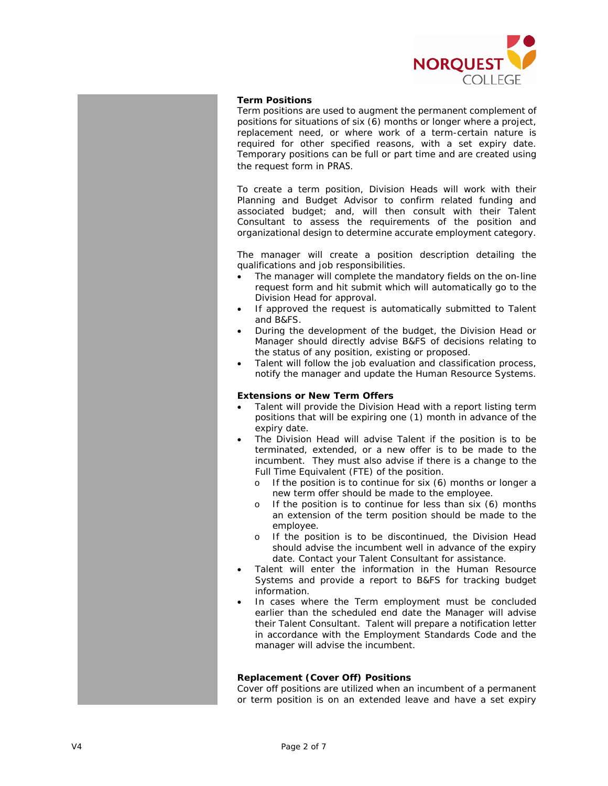

#### **Term Positions**

Term positions are used to augment the permanent complement of positions for situations of six (6) months or longer where a project, replacement need, or where work of a term-certain nature is required for other specified reasons, with a set expiry date. Temporary positions can be full or part time and are created using the request form in PRAS.

To create a term position, Division Heads will work with their Planning and Budget Advisor to confirm related funding and associated budget; and, will then consult with their Talent Consultant to assess the requirements of the position and organizational design to determine accurate employment category.

The manager will create a position description detailing the qualifications and job responsibilities.

- The manager will complete the mandatory fields on the on-line request form and hit submit which will automatically go to the Division Head for approval.
- If approved the request is automatically submitted to Talent and B&FS.
- During the development of the budget, the Division Head or Manager should directly advise B&FS of decisions relating to the status of any position, existing or proposed.
- Talent will follow the job evaluation and classification process, notify the manager and update the Human Resource Systems.

#### **Extensions or New Term Offers**

- Talent will provide the Division Head with a report listing term positions that will be expiring one (1) month in advance of the expiry date.
- The Division Head will advise Talent if the position is to be terminated, extended, or a new offer is to be made to the incumbent. They must also advise if there is a change to the Full Time Equivalent (FTE) of the position.
	- o If the position is to continue for six (6) months or longer a new term offer should be made to the employee.
	- o If the position is to continue for less than six (6) months an extension of the term position should be made to the employee.
	- o If the position is to be discontinued, the Division Head should advise the incumbent well in advance of the expiry date. Contact your Talent Consultant for assistance.
- Talent will enter the information in the Human Resource Systems and provide a report to B&FS for tracking budget information.
- In cases where the Term employment must be concluded earlier than the scheduled end date the Manager will advise their Talent Consultant. Talent will prepare a notification letter in accordance with the Employment Standards Code and the manager will advise the incumbent.

# **Replacement (Cover Off) Positions**

Cover off positions are utilized when an incumbent of a permanent or term position is on an extended leave and have a set expiry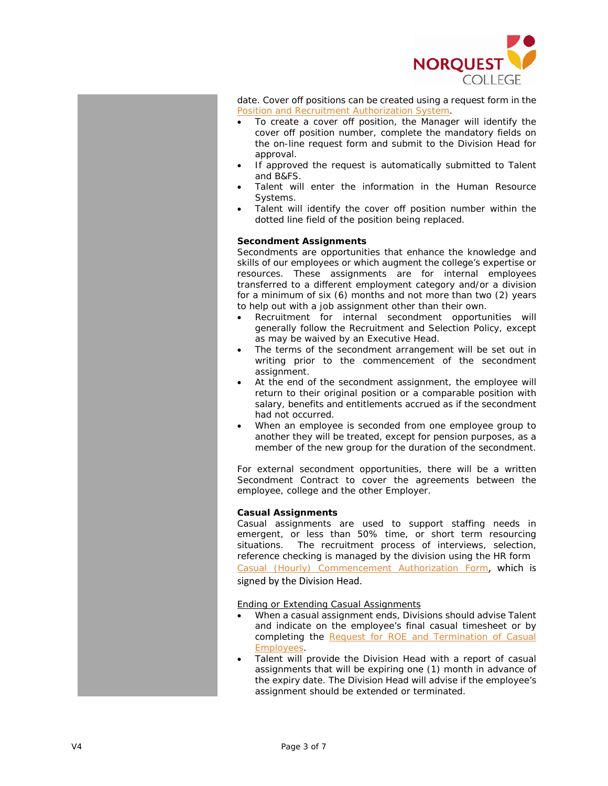

date. Cover off positions can be created using a request form in the [Position and Recruitment Authorization System](http://posmgmt.norquest.ca/SitePages/Home.aspx) .

- To create a cover off position, the Manager will identify the cover off position number, complete the mandatory fields on the on -line request form and submit to the Division Head for approval .
- If approved the request is automatically submitted to Talent and B&FS .
- Talent will enter the information in the Human Resource Systems .
- Talent will identify the cover off position number within the dotted line field of the position being replaced.

# **Secondment Assignments**

Secondments are opportunities that enhance the knowledge and skills of our employees or which augment the college's expertise or resources. These assignments are for internal employees transferred to a different employment category and/or a division for a minimum of six (6) months and not more than two (2) years to help out with a job assignment other than their own.

- Recruitment for internal secondment opportunities will generally follow the Recruitment and Selection Policy, except as may be waived by an Executive Head.
- The terms of the secondment arrangement will be set out in writing prior to the commencement of the secondment assignment.
- At the end of the secondment assignment, the employee will return to their original position or a comparable position with salary, benefits and entitlements accrued as if the secondment had not occurred.
- When an employee is seconded from one employee group to another they will be treated, except for pension purposes, as a member of the new group for the duration of the secondment.

For external secondment opportunities, there will be a written Secondment Contract to cover the agreements between the employee, college and the other Employer .

### **Casual Assignments**

Casual assignments are used to support staffing needs in emergent , or less than 50% time, or short term resourcing situations. The recruitment process of interviews, selection, reference checking is managed by the division using the HR form [Casual \(Hourly\) Commencement Authorization](https://theq.norquest.ca/Departments/WDHR/Public-Documents/Forms/Casual-Commencement-Package/NEW-Casual-Hourly-Commencement-Form-11142018-Final.aspx) Form, which is

signed by the Division Head .

Ending or Extending Casual Assignments

- When a casual assignment ends, Divisions should advise Talent and indicat e on the employee's final casual timesheet or by completing the [Request for ROE and Termination of Casual](http://theq.norquest.ca/Departments/WDHR/Public-Documents/Forms.aspx)  [Employees](http://theq.norquest.ca/Departments/WDHR/Public-Documents/Forms.aspx) .
- Talent will provide the Division Head with a report of casual assignments that will be expiring one (1) month in advance of the expiry date. The Division Head will advise if the employee's assignment should be extended or terminated.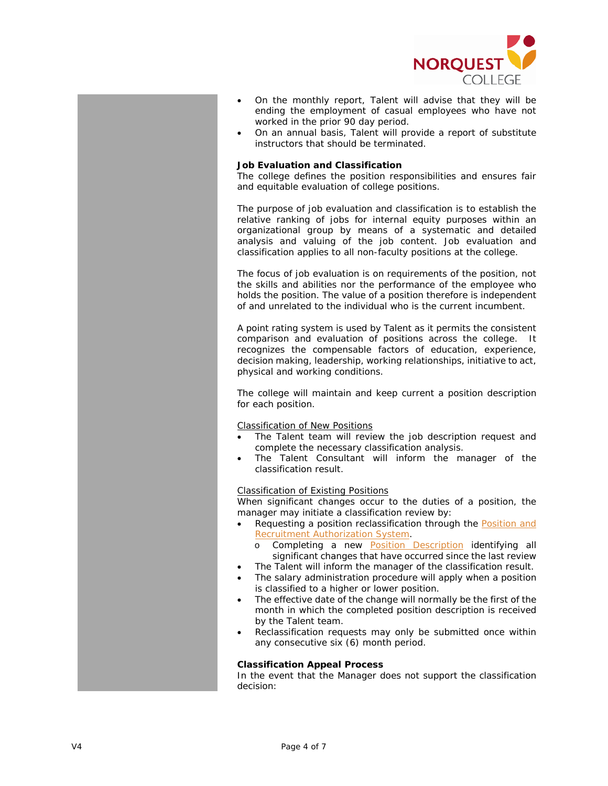

- On the monthly report, Talent will advise that they will be ending the employment of casual employees who have not worked in the prior 90 day period.
- On an annual basis, Talent will provide a report of substitute instructors that should be terminated.

#### **Job Evaluation and Classification**

The college defines the position responsibilities and ensures fair and equitable evaluation of college positions.

The purpose of job evaluation and classification is to establish the relative ranking of jobs for internal equity purposes within an organizational group by means of a systematic and detailed analysis and valuing of the job content. Job evaluation and classification applies to all non-faculty positions at the college.

The focus of job evaluation is on requirements of the position, not the skills and abilities nor the performance of the employee who holds the position. The value of a position therefore is independent of and unrelated to the individual who is the current incumbent.

A point rating system is used by Talent as it permits the consistent comparison and evaluation of positions across the college. It recognizes the compensable factors of education, experience, decision making, leadership, working relationships, initiative to act, physical and working conditions.

The college will maintain and keep current a position description for each position.

Classification of New Positions

- The Talent team will review the job description request and complete the necessary classification analysis.
- The Talent Consultant will inform the manager of the classification result.

## Classification of Existing Positions

When significant changes occur to the duties of a position, the manager may initiate a classification review by:

- Requesting a position reclassification through the **Position and** [Recruitment Authorization System.](http://posmgmt.norquest.ca/SitePages/Home.aspx)
	- o Completing a new [Position Description](https://theq.norquest.ca/Departments/WDHR/Public-Documents/Forms/Position-Description-Template.aspx) identifying all significant changes that have occurred since the last review
- The Talent will inform the manager of the classification result.
- The salary administration procedure will apply when a position is classified to a higher or lower position.
- The effective date of the change will normally be the first of the month in which the completed position description is received by the Talent team.
- Reclassification requests may only be submitted once within any consecutive six (6) month period.

#### **Classification Appeal Process**

In the event that the Manager does not support the classification decision: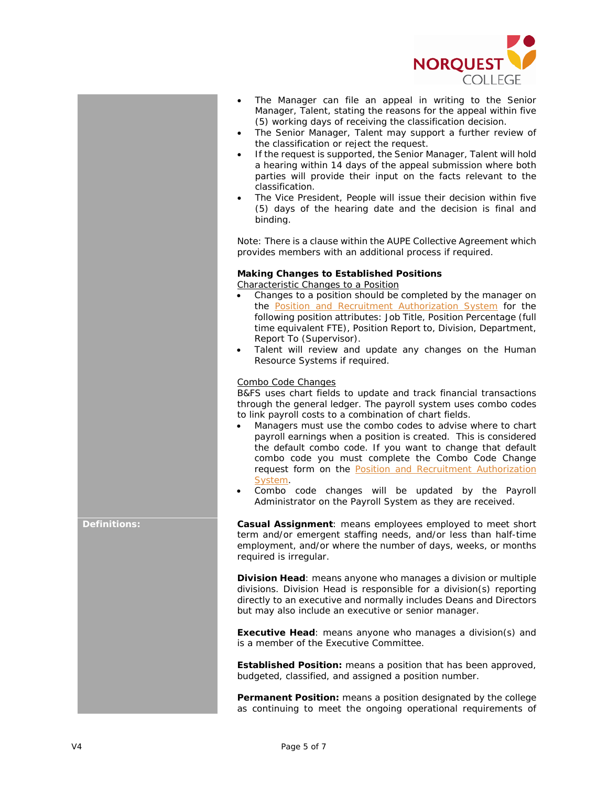

- The Manager can file an appeal in writing to the Senior Manager, Talent, stating the reasons for the appeal within five (5) working days of receiving the classification decision.
- The Senior Manager, Talent may support a further review of the classification or reject the request.
- If the request is supported, the Senior Manager, Talent will hold a hearing within 14 days of the appeal submission where both parties will provide their input on the facts relevant to the classification.
- The Vice President, People will issue their decision within five (5) days of the hearing date and the decision is final and binding.

Note: There is a clause within the AUPE Collective Agreement which provides members with an additional process if required.

# **Making Changes to Established Positions**

Characteristic Changes to a Position

- Changes to a position should be completed by the manager on the [Position and Recruitment Authorization System](http://posmgmt.norquest.ca/SitePages/Home.aspx) for the following position attributes: Job Title, Position Percentage (full time equivalent FTE), Position Report to, Division, Department, Report To (Supervisor).
- Talent will review and update any changes on the Human Resource Systems if required.

# Combo Code Changes

B&FS uses chart fields to update and track financial transactions through the general ledger. The payroll system uses combo codes to link payroll costs to a combination of chart fields.

- Managers must use the combo codes to advise where to chart payroll earnings when a position is created. This is considered the default combo code. If you want to change that default combo code you must complete the Combo Code Change request form on the [Position and Recruitment Authorization](http://posmgmt.norquest.ca/SitePages/Home.aspx)  [System.](http://posmgmt.norquest.ca/SitePages/Home.aspx)
- Combo code changes will be updated by the Payroll Administrator on the Payroll System as they are received.

**Definitions: Casual Assignment**: means employees employed to meet short term and/or emergent staffing needs, and/or less than half-time employment, and/or where the number of days, weeks, or months required is irregular.

> **Division Head**: means anyone who manages a division or multiple divisions. Division Head is responsible for a division(s) reporting directly to an executive and normally includes Deans and Directors but may also include an executive or senior manager.

> **Executive Head**: means anyone who manages a division(s) and is a member of the Executive Committee.

> **Established Position:** means a position that has been approved, budgeted, classified, and assigned a position number.

> **Permanent Position:** means a position designated by the college as continuing to meet the ongoing operational requirements of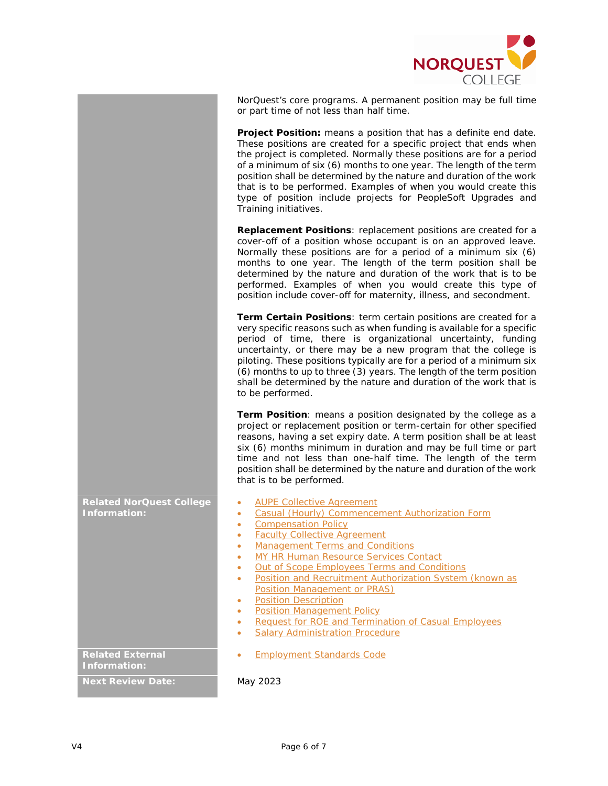

NorQuest's core programs. A permanent position may be full time or part time of not less than half time.

**Project Position:** means a position that has a definite end date. These positions are created for a specific project that ends when the project is completed. Normally these positions are for a period of a minimum of six (6) months to one year. The length of the term position shall be determined by the nature and duration of the work that is to be performed. Examples of when you would create this type of position include projects for PeopleSoft Upgrades and Training initiatives.

**Replacement Positions**: replacement positions are created for a cover-off of a position whose occupant is on an approved leave. Normally these positions are for a period of a minimum six (6) months to one year. The length of the term position shall be determined by the nature and duration of the work that is to be performed. Examples of when you would create this type of position include cover-off for maternity, illness, and secondment.

**Term Certain Positions**: term certain positions are created for a very specific reasons such as when funding is available for a specific period of time, there is organizational uncertainty, funding uncertainty, or there may be a new program that the college is piloting. These positions typically are for a period of a minimum six (6) months to up to three (3) years. The length of the term position shall be determined by the nature and duration of the work that is to be performed.

**Term Position**: means a position designated by the college as a project or replacement position or term-certain for other specified reasons, having a set expiry date. A term position shall be at least six (6) months minimum in duration and may be full time or part time and not less than one-half time. The length of the term position shall be determined by the nature and duration of the work that is to be performed.

**Related NorQuest College Information:**

- [AUPE Collective Agreement](http://theq.norquest.ca/Departments/WDHR/Public-Documents/Collective-Agreements-and-Terms-Conditions/AUPE-Collective-Agreement.aspx)
- [Casual \(Hourly\) Commencement Authorization Form](https://theq.norquest.ca/Departments/WDHR/Public-Documents/Forms/Casual-Commencement-Package/NEW-Casual-Hourly-Commencement-Form-11142018-Final.aspx)
- [Compensation Policy](https://www.norquest.ca/about-us/policies-procedures/human-resources/compensation-policy.aspx)
- [Faculty Collective Agreement](http://theq.norquest.ca/Departments/WDHR/Public-Documents/Collective-Agreements-and-Terms-Conditions/Faculty-Collective-Agreement.aspx)
- [Management Terms and Conditions](http://theq.norquest.ca/Departments/WDHR/Public-Documents/Collective-Agreements-and-Terms-Conditions/Management-Terms-and-Conditions.aspx)
- MY HR [Human Resource Services Contact](http://theq.norquest.ca/My-HR.aspx)
- **[Out of Scope Employees Terms and Conditions](http://theq.norquest.ca/Departments/WDHR/Public-Documents/Collective-Agreements-and-Terms-Conditions/Out-of-Scope-Employee-TC.aspx)**
- [Position and Recruitment Authorization System \(known as](http://posmgmt.norquest.ca/SitePages/Home.aspx)  [Position Management or PRAS\)](http://posmgmt.norquest.ca/SitePages/Home.aspx)
- [Position Description](https://theq.norquest.ca/Departments/WDHR/Public-Documents/Forms/Position-Description-Template.aspx)
- [Position Management Policy](https://www.norquest.ca/about-us/policies-procedures/human-resources/position-management-policy.aspx)
- [Request for ROE and Termination of Casual Employees](http://theq.norquest.ca/Departments/WDHR/Public-Documents/Forms.aspx)
- **[Salary Administration Procedure](https://www.norquest.ca/about-us/policies-procedures/human-resources/compensation-policy/salary-administration-procedures.aspx)**
- [Employment Standards Code](http://www.qp.alberta.ca/documents/Acts/E09.pdf)

**Related External Information:**

**Next Review Date:** May 2023